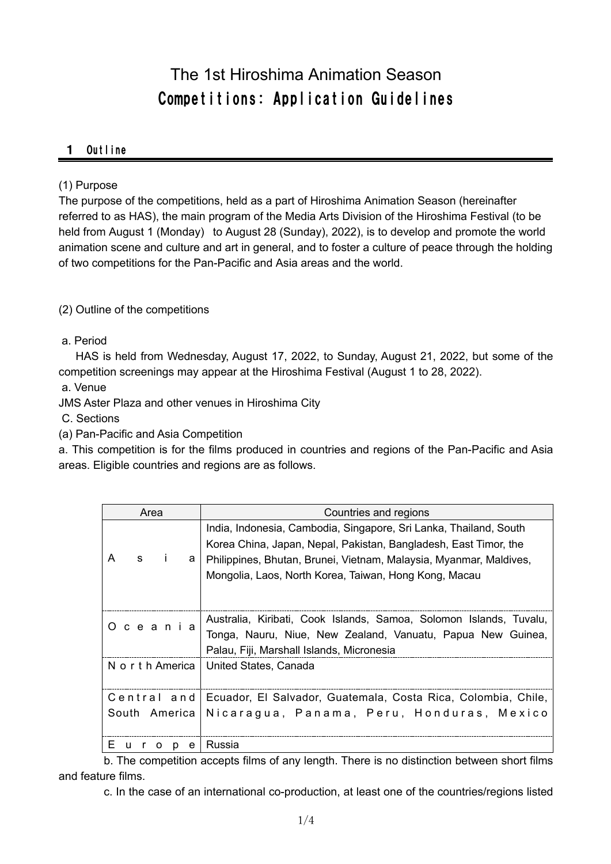# The 1st Hiroshima Animation Season Competitions: Application Guidelines

#### 1 Outline

#### (1) Purpose

The purpose of the competitions, held as a part of Hiroshima Animation Season (hereinafter referred to as HAS), the main program of the Media Arts Division of the Hiroshima Festival (to be held from August 1 (Monday) to August 28 (Sunday), 2022), is to develop and promote the world animation scene and culture and art in general, and to foster a culture of peace through the holding of two competitions for the Pan-Pacific and Asia areas and the world.

(2) Outline of the competitions

a. Period

HAS is held from Wednesday, August 17, 2022, to Sunday, August 21, 2022, but some of the competition screenings may appear at the Hiroshima Festival (August 1 to 28, 2022).

a. Venue

JMS Aster Plaza and other venues in Hiroshima City

C. Sections

(a) Pan-Pacific and Asia Competition

a. This competition is for the films produced in countries and regions of the Pan-Pacific and Asia areas. Eligible countries and regions are as follows.

| Area              |               |         |                                                                                                                                       | Countries and regions                                              |
|-------------------|---------------|---------|---------------------------------------------------------------------------------------------------------------------------------------|--------------------------------------------------------------------|
|                   |               | -i<br>а | India, Indonesia, Cambodia, Singapore, Sri Lanka, Thailand, South<br>Korea China, Japan, Nepal, Pakistan, Bangladesh, East Timor, the |                                                                    |
| A                 | s             |         | Philippines, Bhutan, Brunei, Vietnam, Malaysia, Myanmar, Maldives,                                                                    |                                                                    |
|                   |               |         |                                                                                                                                       | Mongolia, Laos, North Korea, Taiwan, Hong Kong, Macau              |
|                   |               |         |                                                                                                                                       |                                                                    |
|                   |               |         | Oceania                                                                                                                               | Australia, Kiribati, Cook Islands, Samoa, Solomon Islands, Tuvalu, |
|                   |               |         |                                                                                                                                       | Tonga, Nauru, Niue, New Zealand, Vanuatu, Papua New Guinea,        |
|                   |               |         |                                                                                                                                       | Palau, Fiji, Marshall Islands, Micronesia                          |
| N o r t h America |               |         |                                                                                                                                       | United States, Canada                                              |
|                   |               |         |                                                                                                                                       |                                                                    |
| Central and       |               |         |                                                                                                                                       | Ecuador, El Salvador, Guatemala, Costa Rica, Colombia, Chile,      |
|                   | South America |         |                                                                                                                                       | Nicaragua, Panama, Peru, Honduras, Mexico                          |
|                   |               |         |                                                                                                                                       |                                                                    |
| E.                | u<br>r        | O<br>p  | e                                                                                                                                     | Russia                                                             |

b. The competition accepts films of any length. There is no distinction between short films and feature films.

c. In the case of an international co-production, at least one of the countries/regions listed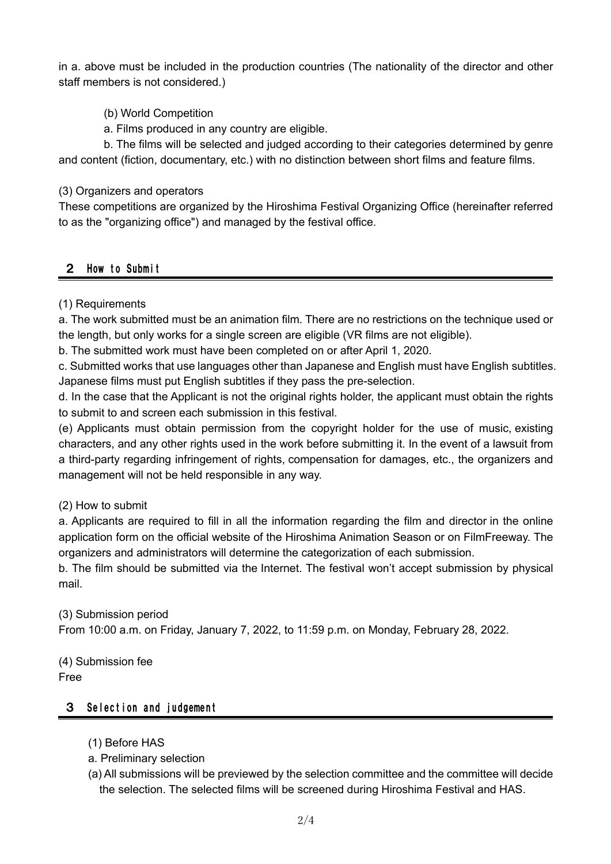in a. above must be included in the production countries (The nationality of the director and other staff members is not considered.)

# (b) World Competition

a. Films produced in any country are eligible.

b. The films will be selected and judged according to their categories determined by genre and content (fiction, documentary, etc.) with no distinction between short films and feature films.

## (3) Organizers and operators

These competitions are organized by the Hiroshima Festival Organizing Office (hereinafter referred to as the "organizing office") and managed by the festival office.

# 2 How to Submit

# (1) Requirements

a. The work submitted must be an animation film. There are no restrictions on the technique used or the length, but only works for a single screen are eligible (VR films are not eligible).

b. The submitted work must have been completed on or after April 1, 2020.

c. Submitted works that use languages other than Japanese and English must have English subtitles. Japanese films must put English subtitles if they pass the pre-selection.

d. In the case that the Applicant is not the original rights holder, the applicant must obtain the rights to submit to and screen each submission in this festival.

(e) Applicants must obtain permission from the copyright holder for the use of music, existing characters, and any other rights used in the work before submitting it. In the event of a lawsuit from a third-party regarding infringement of rights, compensation for damages, etc., the organizers and management will not be held responsible in any way.

## (2) How to submit

a. Applicants are required to fill in all the information regarding the film and director in the online application form on the official website of the Hiroshima Animation Season or on FilmFreeway. The organizers and administrators will determine the categorization of each submission.

b. The film should be submitted via the Internet. The festival won't accept submission by physical mail.

(3) Submission period From 10:00 a.m. on Friday, January 7, 2022, to 11:59 p.m. on Monday, February 28, 2022.

(4) Submission fee Free

## 3 Selection and judgement

- (1) Before HAS
- a. Preliminary selection
- (a) All submissions will be previewed by the selection committee and the committee will decide the selection. The selected films will be screened during Hiroshima Festival and HAS.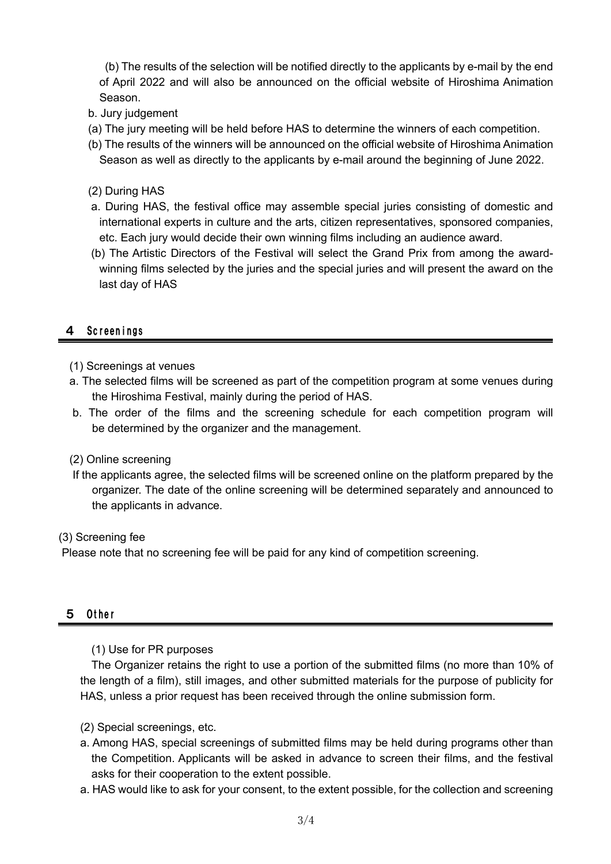(b) The results of the selection will be notified directly to the applicants by e-mail by the end of April 2022 and will also be announced on the official website of Hiroshima Animation Season.

- b. Jury judgement
- (a) The jury meeting will be held before HAS to determine the winners of each competition.
- (b) The results of the winners will be announced on the official website of Hiroshima Animation Season as well as directly to the applicants by e-mail around the beginning of June 2022.
- (2) During HAS
- a. During HAS, the festival office may assemble special juries consisting of domestic and international experts in culture and the arts, citizen representatives, sponsored companies, etc. Each jury would decide their own winning films including an audience award.
- (b) The Artistic Directors of the Festival will select the Grand Prix from among the awardwinning films selected by the juries and the special juries and will present the award on the last day of HAS

## 4 Screenings

- (1) Screenings at venues
- a. The selected films will be screened as part of the competition program at some venues during the Hiroshima Festival, mainly during the period of HAS.
- b. The order of the films and the screening schedule for each competition program will be determined by the organizer and the management.

#### (2) Online screening

If the applicants agree, the selected films will be screened online on the platform prepared by the organizer. The date of the online screening will be determined separately and announced to the applicants in advance.

#### (3) Screening fee

Please note that no screening fee will be paid for any kind of competition screening.

## 5 Other

(1) Use for PR purposes

The Organizer retains the right to use a portion of the submitted films (no more than 10% of the length of a film), still images, and other submitted materials for the purpose of publicity for HAS, unless a prior request has been received through the online submission form.

- (2) Special screenings, etc.
- a. Among HAS, special screenings of submitted films may be held during programs other than the Competition. Applicants will be asked in advance to screen their films, and the festival asks for their cooperation to the extent possible.
- a. HAS would like to ask for your consent, to the extent possible, for the collection and screening